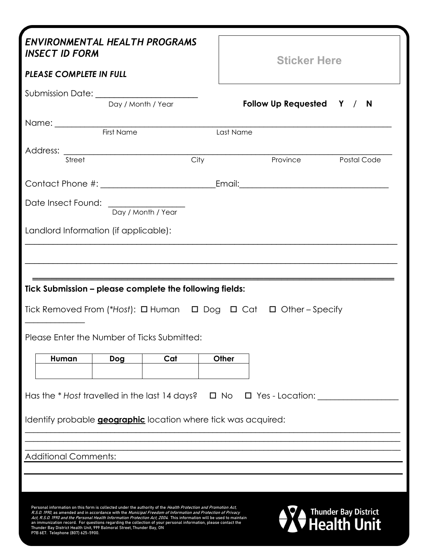| <b>INSECT ID FORM</b><br><b>PLEASE COMPLETE IN FULL</b>                                                                                         |                                                     | <b>ENVIRONMENTAL HEALTH PROGRAMS</b> |              | <b>Sticker Here</b>                                                                  |  |  |
|-------------------------------------------------------------------------------------------------------------------------------------------------|-----------------------------------------------------|--------------------------------------|--------------|--------------------------------------------------------------------------------------|--|--|
| Submission Date: _______________________                                                                                                        |                                                     |                                      |              |                                                                                      |  |  |
|                                                                                                                                                 | Day / Month / Year                                  |                                      |              | Follow Up Requested Y / N                                                            |  |  |
|                                                                                                                                                 |                                                     |                                      |              |                                                                                      |  |  |
|                                                                                                                                                 | First Name                                          |                                      | Last Name    |                                                                                      |  |  |
| Address:<br>Street                                                                                                                              | <u> 1980 - Andrea Station, amerikansk politik (</u> |                                      | City         | Province Postal Code                                                                 |  |  |
|                                                                                                                                                 |                                                     |                                      |              |                                                                                      |  |  |
|                                                                                                                                                 |                                                     |                                      |              |                                                                                      |  |  |
| Date Insect Found:                                                                                                                              |                                                     | Day / Month / Year                   |              |                                                                                      |  |  |
|                                                                                                                                                 |                                                     |                                      |              |                                                                                      |  |  |
|                                                                                                                                                 |                                                     |                                      |              |                                                                                      |  |  |
| Landlord Information (if applicable):<br>Tick Submission - please complete the following fields:<br>Please Enter the Number of Ticks Submitted: |                                                     |                                      |              | Tick Removed From (*Host): $\Box$ Human $\Box$ Dog $\Box$ Cat $\Box$ Other - Specify |  |  |
|                                                                                                                                                 |                                                     |                                      |              |                                                                                      |  |  |
| Human                                                                                                                                           | Dog                                                 | Cat                                  | Other        |                                                                                      |  |  |
|                                                                                                                                                 |                                                     |                                      |              |                                                                                      |  |  |
| Has the * Host travelled in the last 14 days?                                                                                                   |                                                     |                                      | $\square$ No | $\Box$ Yes - Location:                                                               |  |  |
| Identify probable <b>geographic</b> location where tick was acquired:                                                                           |                                                     |                                      |              |                                                                                      |  |  |
|                                                                                                                                                 |                                                     |                                      |              |                                                                                      |  |  |
| <b>Additional Comments:</b>                                                                                                                     |                                                     |                                      |              |                                                                                      |  |  |